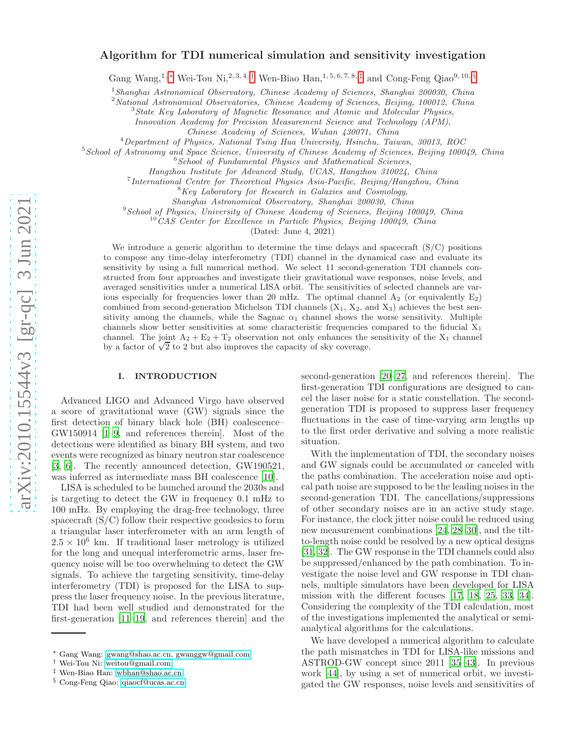# Algorithm for TDI numerical simulation and sensitivity investigation

Gang Wang,<sup>1,\*</sup> Wei-Tou Ni,<sup>2,3,4,[†](#page-0-1)</sup> Wen-Biao Han,<sup>1,5,6,7,8,[‡](#page-0-2)</sup> and Cong-Feng Qiao<sup>9,10,[§](#page-0-3)</sup>

<sup>1</sup>Shanghai Astronomical Observatory, Chinese Academy of Sciences, Shanghai 200030, China<sup>2</sup> National Astronomical Observatories, Chinese Academy of Sciences, Beijing, 100012, China<sup>3</sup> State Key Laboratory of Magnetic Res

Innovation Academy for Precision Measurement Science and Technology (APM),

Chinese Academy of Sciences, Wuhan 430071, China

<sup>4</sup>Department of Physics, National Tsing Hua University, Hsinchu, Taiwan, 30013, ROC

 $5$ School of Astronomy and Space Science, University of Chinese Academy of Sciences, Beijing 100049, China  $6$ School of Fundamental Physics and Mathematical Sciences,

Hangzhou Institute for Advanced Study, UCAS, Hangzhou 310024, China

<sup>7</sup> International Centre for Theoretical Physics Asia-Pacific, Beijing/Hangzhou, China  ${}^{8}$ Key Laboratory for Research in Galaxies and Cosmology,

Shanghai Astronomical Observatory, Shanghai 200030, Chin a

<sup>9</sup> School of Physics, University of Chinese Academy of Sciences, Beijing 100049, China

<sup>10</sup>CAS Center for Excellence in Particle Physics, Beijing 100049, China

(Dated: June 4, 2021)

We introduce a generic algorithm to determine the time delays and spacecraft (S/C) positions to compose any time-delay interferometry (TDI) channel in the dynamical case and evaluate its sensitivity by using a full numerical method. We select 11 second-generation TDI channels constructed from four approaches and investigate their gravitational wave responses, noise levels, and averaged sensitivities under a numerical LISA orbit. The sensitivities of selected channels are various especially for frequencies lower than 20 mHz. The optimal channel  $A_2$  (or equivalently  $E_2$ ) combined from second-generation Michelson TDI channels  $(X_1, X_2, \text{ and } X_3)$  achieves the best sensitivity among the channels, while the Sagnac  $\alpha_1$  channel shows the worse sensitivity. Multiple channels show better sensitivities at some characteristic frequencies compared to the fiducial  $X_1$ channel. The joint  $A_2 + E_2 + T_2$  observation not only enhances the sensitivity of the  $X_1$  channel by a factor of  $\sqrt{2}$  to 2 but also improves the capacity of sky coverage.

## I. INTRODUCTION

Advanced LIGO and Advanced Virgo have observed a score of gravitational wave (GW) signals since the first detection of binary black hole (BH) coalescence– GW150914 [\[1–](#page-10-0)[9,](#page-10-1) and references therein]. Most of the detections were identified as binary BH system, and two events were recognized as binary neutron star coalescence [\[3,](#page-10-2) [6](#page-10-3)]. The recently announced detection, GW190521, was inferred as intermediate mass BH coalescence [\[10](#page-10-4)].

LISA is scheduled to be launched around the 2030s and is targeting to detect the GW in frequency 0.1 mHz to 100 mHz. By employing the drag-free technology, three spacecraft (S/C) follow their respective geodesics to form a triangular laser interferometer with an arm length of  $2.5 \times 10^6$  km. If traditional laser metrology is utilized for the long and unequal interferometric arms, laser frequency noise will be too overwhelming to detect the GW signals. To achieve the targeting sensitivity, time-delay interferometry (TDI) is proposed for the LISA to suppress the laser frequency noise. In the previous literature, TDI had been well studied and demonstrated for the first-generation [\[11](#page-10-5)[–19](#page-11-0), and references therein] and the

second-generation [\[20](#page-11-1)[–27,](#page-11-2) and references therein]. The first-generation TDI configurations are designed to cancel the laser noise for a static constellation. The secondgeneration TDI is proposed to suppress laser frequency fluctuations in the case of time-varying arm lengths up to the first order derivative and solving a more realistic situation.

With the implementation of TDI, the secondary noises and GW signals could be accumulated or canceled with the paths combination. The acceleration noise and optical path noise are supposed to be the leading noises in the second-generation TDI. The cancellations/suppressions of other secondary noises are in an active study stage. For instance, the clock jitter noise could be reduced using new measurement combinations [\[24,](#page-11-3) [28](#page-11-4)[–30](#page-11-5)], and the tiltto-length noise could be resolved by a new optical designs [\[31,](#page-11-6) [32\]](#page-11-7). The GW response in the TDI channels could also be suppressed/enhanced by the path combination. To investigate the noise level and GW response in TDI channels, multiple simulators have been developed for LISA mission with the different focuses [\[17](#page-11-8), [18,](#page-11-9) [25](#page-11-10), [33,](#page-11-11) [34\]](#page-11-12). Considering the complexity of the TDI calculation, most of the investigations implemented the analytical or semianalytical algorithms for the calculations.

We have developed a numerical algorithm to calculate the path mismatches in TDI for LISA-like missions and ASTROD-GW concept since 2011 [\[35](#page-11-13)[–43\]](#page-11-14). In previous work [\[44\]](#page-11-15), by using a set of numerical orbit, we investigated the GW responses, noise levels and sensitivities of

<span id="page-0-0"></span><sup>∗</sup> Gang Wang: [gwang@shao.ac.cn, gwanggw@gmail.com](mailto:gwang@shao.ac.cn, gwanggw@gmail.com)

<span id="page-0-1"></span><sup>†</sup> Wei-Tou Ni: [weitou@gmail.com](mailto:weitou@gmail.com)

<span id="page-0-2"></span><sup>‡</sup> Wen-Biao Han: [wbhan@shao.ac.cn](mailto:wbhan@shao.ac.cn)

<span id="page-0-3"></span><sup>§</sup> Cong-Feng Qiao: [qiaocf@ucas.ac.cn](mailto:qiaocf@ucas.ac.cn)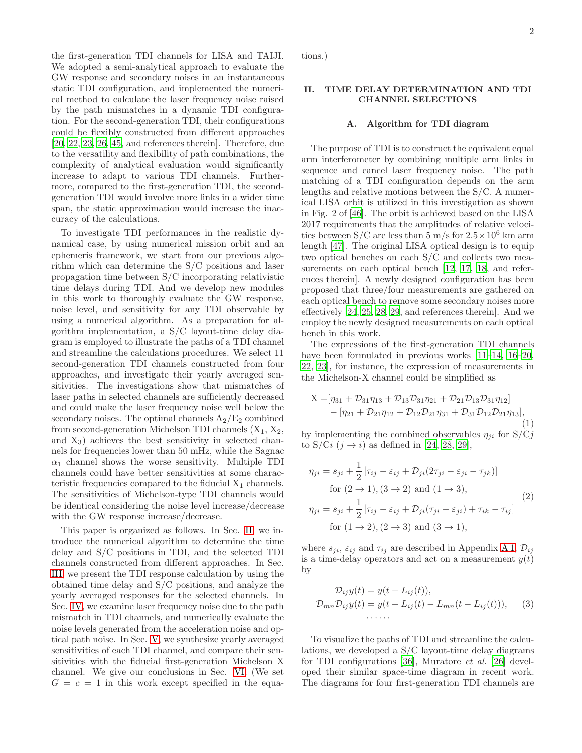2

the first-generation TDI channels for LISA and TAIJI. We adopted a semi-analytical approach to evaluate the GW response and secondary noises in an instantaneous static TDI configuration, and implemented the numerical method to calculate the laser frequency noise raised by the path mismatches in a dynamic TDI configuration. For the second-generation TDI, their configurations could be flexibly constructed from different approaches [\[20,](#page-11-1) [22,](#page-11-16) [23](#page-11-17), [26](#page-11-18), [45,](#page-11-19) and references therein]. Therefore, due to the versatility and flexibility of path combinations, the complexity of analytical evaluation would significantly increase to adapt to various TDI channels. Furthermore, compared to the first-generation TDI, the secondgeneration TDI would involve more links in a wider time span, the static approximation would increase the inaccuracy of the calculations.

To investigate TDI performances in the realistic dynamical case, by using numerical mission orbit and an ephemeris framework, we start from our previous algorithm which can determine the S/C positions and laser propagation time between S/C incorporating relativistic time delays during TDI. And we develop new modules in this work to thoroughly evaluate the GW response, noise level, and sensitivity for any TDI observable by using a numerical algorithm. As a preparation for algorithm implementation, a S/C layout-time delay diagram is employed to illustrate the paths of a TDI channel and streamline the calculations procedures. We select 11 second-generation TDI channels constructed from four approaches, and investigate their yearly averaged sensitivities. The investigations show that mismatches of laser paths in selected channels are sufficiently decreased and could make the laser frequency noise well below the secondary noises. The optimal channels  $A_2/E_2$  combined from second-generation Michelson TDI channels  $(X_1, X_2,$ and  $X_3$ ) achieves the best sensitivity in selected channels for frequencies lower than 50 mHz, while the Sagnac  $\alpha_1$  channel shows the worse sensitivity. Multiple TDI channels could have better sensitivities at some characteristic frequencies compared to the fiducial  $X_1$  channels. The sensitivities of Michelson-type TDI channels would be identical considering the noise level increase/decrease with the GW response increase/decrease.

This paper is organized as follows. In Sec. [II,](#page-1-0) we introduce the numerical algorithm to determine the time delay and S/C positions in TDI, and the selected TDI channels constructed from different approaches. In Sec. [III,](#page-4-0) we present the TDI response calculation by using the obtained time delay and S/C positions, and analyze the yearly averaged responses for the selected channels. In Sec. [IV,](#page-6-0) we examine laser frequency noise due to the path mismatch in TDI channels, and numerically evaluate the noise levels generated from the acceleration noise and optical path noise. In Sec. [V,](#page-7-0) we synthesize yearly averaged sensitivities of each TDI channel, and compare their sensitivities with the fiducial first-generation Michelson X channel. We give our conclusions in Sec. [VI.](#page-8-0) (We set  $G = c = 1$  in this work except specified in the equations.)

### <span id="page-1-0"></span>II. TIME DELAY DETERMINATION AND TDI CHANNEL SELECTIONS

## <span id="page-1-2"></span>A. Algorithm for TDI diagram

The purpose of TDI is to construct the equivalent equal arm interferometer by combining multiple arm links in sequence and cancel laser frequency noise. The path matching of a TDI configuration depends on the arm lengths and relative motions between the S/C. A numerical LISA orbit is utilized in this investigation as shown in Fig. 2 of [\[46](#page-11-20)]. The orbit is achieved based on the LISA 2017 requirements that the amplitudes of relative velocities between  $S/C$  are less than 5 m/s for  $2.5 \times 10^6$  km arm length [\[47](#page-11-21)]. The original LISA optical design is to equip two optical benches on each S/C and collects two mea-surements on each optical bench [\[12](#page-10-6), [17,](#page-11-8) [18,](#page-11-9) and references therein]. A newly designed configuration has been proposed that three/four measurements are gathered on each optical bench to remove some secondary noises more effectively [\[24](#page-11-3), [25,](#page-11-10) [28,](#page-11-4) [29,](#page-11-22) and references therein]. And we employ the newly designed measurements on each optical bench in this work.

The expressions of the first-generation TDI channels have been formulated in previous works [\[11](#page-10-5)[–14,](#page-10-7) [16](#page-11-23)[–20,](#page-11-1) [22](#page-11-16), [23\]](#page-11-17), for instance, the expression of measurements in the Michelson-X channel could be simplified as

<span id="page-1-1"></span>
$$
X = [\eta_{31} + D_{31}\eta_{13} + D_{13}D_{31}\eta_{21} + D_{21}D_{13}D_{31}\eta_{12}] - [\eta_{21} + D_{21}\eta_{12} + D_{12}D_{21}\eta_{31} + D_{31}D_{12}D_{21}\eta_{13}],
$$
\n(1)

by implementing the combined observables  $\eta_{ii}$  for  $S/Cj$ to S/Ci  $(j \rightarrow i)$  as defined in [\[24](#page-11-3), [28](#page-11-4), [29](#page-11-22)],

<span id="page-1-3"></span>
$$
\eta_{ji} = s_{ji} + \frac{1}{2} \left[ \tau_{ij} - \varepsilon_{ij} + \mathcal{D}_{ji} (2\tau_{ji} - \varepsilon_{ji} - \tau_{jk}) \right]
$$
  
for  $(2 \to 1), (3 \to 2)$  and  $(1 \to 3),$   

$$
\eta_{ji} = s_{ji} + \frac{1}{2} \left[ \tau_{ij} - \varepsilon_{ij} + \mathcal{D}_{ji} (\tau_{ji} - \varepsilon_{ji}) + \tau_{ik} - \tau_{ij} \right]
$$
  
for  $(1 \to 2), (2 \to 3)$  and  $(3 \to 1),$  (2)

where  $s_{ji}$ ,  $\varepsilon_{ij}$  and  $\tau_{ij}$  are described in Appendix [A 1,](#page-9-0)  $\mathcal{D}_{ij}$ is a time-delay operators and act on a measurement  $y(t)$ by

$$
\mathcal{D}_{ij}y(t) = y(t - L_{ij}(t)),
$$
  
\n
$$
\mathcal{D}_{mn}\mathcal{D}_{ij}y(t) = y(t - L_{ij}(t) - L_{mn}(t - L_{ij}(t))),
$$
\n(3)

To visualize the paths of TDI and streamline the calculations, we developed a S/C layout-time delay diagrams for TDI configurations [\[36](#page-11-24)], Muratore et al. [\[26\]](#page-11-18) developed their similar space-time diagram in recent work. The diagrams for four first-generation TDI channels are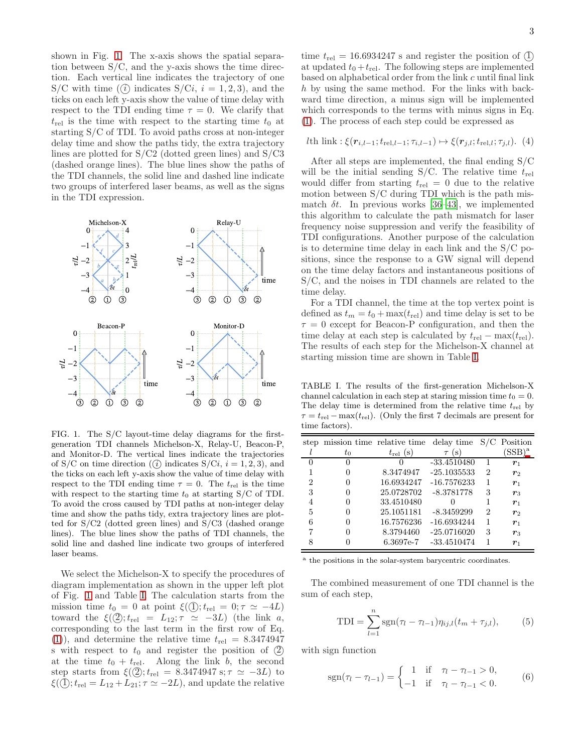shown in Fig. [1.](#page-2-0) The x-axis shows the spatial separation between S/C, and the y-axis shows the time direction. Each vertical line indicates the trajectory of one S/C with time  $(\hat{i})$  indicates S/Ci,  $i = 1, 2, 3$ , and the ticks on each left y-axis show the value of time delay with respect to the TDI ending time  $\tau = 0$ . We clarify that  $t_{\text{rel}}$  is the time with respect to the starting time  $t_0$  at starting S/C of TDI. To avoid paths cross at non-integer delay time and show the paths tidy, the extra trajectory lines are plotted for S/C2 (dotted green lines) and S/C3 (dashed orange lines). The blue lines show the paths of the TDI channels, the solid line and dashed line indicate two groups of interfered laser beams, as well as the signs in the TDI expression.



<span id="page-2-0"></span>FIG. 1. The S/C layout-time delay diagrams for the firstgeneration TDI channels Michelson-X, Relay-U, Beacon-P, and Monitor-D. The vertical lines indicate the trajectories of S/C on time direction  $(\hat{i})$  indicates S/Ci,  $i = 1, 2, 3$ , and the ticks on each left y-axis show the value of time delay with respect to the TDI ending time  $\tau = 0$ . The  $t_{\text{rel}}$  is the time with respect to the starting time  $t_0$  at starting S/C of TDI. To avoid the cross caused by TDI paths at non-integer delay time and show the paths tidy, extra trajectory lines are plotted for S/C2 (dotted green lines) and S/C3 (dashed orange lines). The blue lines show the paths of TDI channels, the solid line and dashed line indicate two groups of interfered laser beams.

We select the Michelson-X to specify the procedures of diagram implementation as shown in the upper left plot of Fig. [1](#page-2-0) and Table [I.](#page-2-1) The calculation starts from the mission time  $t_0 = 0$  at point  $\xi(\mathbb{Q}); t_{\text{rel}} = 0; \tau \simeq -4L$ toward the  $\xi(\mathcal{Q}); t_{\text{rel}} = L_{12}; \tau \simeq -3L$ ) (the link a, corresponding to the last term in the first row of Eq. [\(1\)](#page-1-1)), and determine the relative time  $t_{\text{rel}} = 8.3474947$ s with respect to  $t_0$  and register the position of  $(2)$ at the time  $t_0 + t_{rel}$ . Along the link b, the second step starts from  $\xi(\mathcal{Q})$ ;  $t_{\text{rel}} = 8.3474947 \text{ s}; \tau \simeq -3L$ ) to  $\xi(\mathbb{Q}); t_{\text{rel}} = L_{12} + L_{21}; \tau \simeq -2L$ , and update the relative

time  $t_{\text{rel}} = 16.6934247$  s and register the position of  $\textcircled{1}$ at updated  $t_0 + t_{rel}$ . The following steps are implemented based on alphabetical order from the link c until final link h by using the same method. For the links with backward time direction, a minus sign will be implemented which corresponds to the terms with minus signs in Eq. [\(1\)](#page-1-1). The process of each step could be expressed as

*l*th link : 
$$
\xi(\mathbf{r}_{i,l-1}; t_{\text{rel},l-1}; \tau_{i,l-1}) \mapsto \xi(\mathbf{r}_{j,l}; t_{\text{rel},l}; \tau_{j,l}).
$$
 (4)

After all steps are implemented, the final ending S/C will be the initial sending  $S/C$ . The relative time  $t_{rel}$ would differ from starting  $t_{rel} = 0$  due to the relative motion between S/C during TDI which is the path mismatch  $\delta t$ . In previous works [\[36](#page-11-24)[–43\]](#page-11-14), we implemented this algorithm to calculate the path mismatch for laser frequency noise suppression and verify the feasibility of TDI configurations. Another purpose of the calculation is to determine time delay in each link and the S/C positions, since the response to a GW signal will depend on the time delay factors and instantaneous positions of S/C, and the noises in TDI channels are related to the time delay.

For a TDI channel, the time at the top vertex point is defined as  $t_m = t_0 + \max(t_{rel})$  and time delay is set to be  $\tau = 0$  except for Beacon-P configuration, and then the time delay at each step is calculated by  $t_{\text{rel}} - \max(t_{\text{rel}})$ . The results of each step for the Michelson-X channel at starting mission time are shown in Table [I.](#page-2-1)

<span id="page-2-1"></span>TABLE I. The results of the first-generation Michelson-X channel calculation in each step at staring mission time  $t_0 = 0$ . The delay time is determined from the relative time  $t_{rel}$  by  $\tau = t_{\text{rel}} - \max(t_{\text{rel}})$ . (Only the first 7 decimals are present for time factors).

|              |              | step mission time relative time | delay time    |                | $S/C$ Position     |
|--------------|--------------|---------------------------------|---------------|----------------|--------------------|
|              | $t_0$        | $t_{\rm rel}$ (s)               | (s)<br>$\tau$ |                | $(SSB)^a$          |
| $\mathbf{0}$ | $\mathbf{0}$ |                                 | $-33.4510480$ |                | $r_1$              |
|              | $\mathbf{0}$ | 8.3474947                       | $-25.1035533$ | $\overline{2}$ | $\bm{r}_2$         |
| 2            | $\mathbf{0}$ | 16.6934247                      | $-16.7576233$ | 1              | $r_1$              |
| 3            |              | 25.0728702                      | $-8.3781778$  | 3              | $\boldsymbol{r}_3$ |
| 4            |              | 33.4510480                      |               |                | $r_1$              |
| 5            | $\mathbf{0}$ | 25.1051181                      | $-8.3459299$  | $\overline{2}$ | $\boldsymbol{r}_2$ |
| 6            | $\mathbf{0}$ | 16.7576236                      | $-16.6934244$ | 1              | $r_1$              |
| 7            |              | 8.3794460                       | $-25.0716020$ | 3              | $\boldsymbol{r}_3$ |
|              |              | 6.3697e-7                       | $-33.4510474$ |                | $r_1$              |

<span id="page-2-2"></span><sup>a</sup> the positions in the solar-system barycentric coordinates.

The combined measurement of one TDI channel is the sum of each step,

<span id="page-2-3"></span>
$$
TDI = \sum_{l=1}^{n} sgn(\tau_l - \tau_{l-1}) \eta_{ij,l}(t_m + \tau_{j,l}),
$$
 (5)

with sign function

$$
sgn(\tau_l - \tau_{l-1}) = \begin{cases} 1 & \text{if } \tau_l - \tau_{l-1} > 0, \\ -1 & \text{if } \tau_l - \tau_{l-1} < 0. \end{cases}
$$
 (6)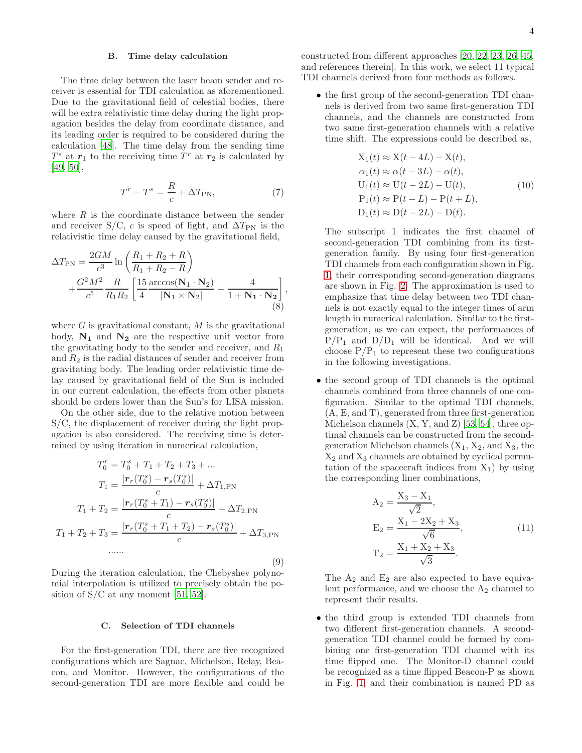# B. Time delay calculation

The time delay between the laser beam sender and receiver is essential for TDI calculation as aforementioned. Due to the gravitational field of celestial bodies, there will be extra relativistic time delay during the light propagation besides the delay from coordinate distance, and its leading order is required to be considered during the calculation [\[48\]](#page-11-25). The time delay from the sending time  $T^s$  at  $r_1$  to the receiving time  $T^r$  at  $r_2$  is calculated by [\[49,](#page-11-26) [50\]](#page-11-27),

<span id="page-3-1"></span>
$$
T^r - T^s = \frac{R}{c} + \Delta T_{\text{PN}},\tag{7}
$$

where  $R$  is the coordinate distance between the sender and receiver S/C, c is speed of light, and  $\Delta T_{\rm PN}$  is the relativistic time delay caused by the gravitational field,

$$
\Delta T_{\rm PN} = \frac{2GM}{c^3} \ln \left( \frac{R_1 + R_2 + R}{R_1 + R_2 - R} \right) + \frac{G^2 M^2}{c^5} \frac{R}{R_1 R_2} \left[ \frac{15}{4} \frac{\arccos(\mathbf{N}_1 \cdot \mathbf{N}_2)}{|\mathbf{N}_1 \times \mathbf{N}_2|} - \frac{4}{1 + \mathbf{N}_1 \cdot \mathbf{N}_2} \right],
$$
\n(8)

where  $G$  is gravitational constant,  $M$  is the gravitational body,  $N_1$  and  $N_2$  are the respective unit vector from the gravitating body to the sender and receiver, and  $R_1$ and  $R_2$  is the radial distances of sender and receiver from gravitating body. The leading order relativistic time delay caused by gravitational field of the Sun is included in our current calculation, the effects from other planets should be orders lower than the Sun's for LISA mission.

On the other side, due to the relative motion between S/C, the displacement of receiver during the light propagation is also considered. The receiving time is determined by using iteration in numerical calculation,

$$
T_0^r = T_0^s + T_1 + T_2 + T_3 + \dots
$$
  
\n
$$
T_1 = \frac{|\mathbf{r}_r(T_0^s) - \mathbf{r}_s(T_0^s)|}{c} + \Delta T_{1,\text{PN}}
$$
  
\n
$$
T_1 + T_2 = \frac{|\mathbf{r}_r(T_0^s + T_1) - \mathbf{r}_s(T_0^s)|}{c} + \Delta T_{2,\text{PN}}
$$
  
\n
$$
T_1 + T_2 + T_3 = \frac{|\mathbf{r}_r(T_0^s + T_1 + T_2) - \mathbf{r}_s(T_0^s)|}{c} + \Delta T_{3,\text{PN}}
$$
  
\n......

During the iteration calculation, the Chebyshev polynomial interpolation is utilized to precisely obtain the position of  $S/C$  at any moment [\[51,](#page-11-28) [52\]](#page-12-0).

(9)

### C. Selection of TDI channels

For the first-generation TDI, there are five recognized configurations which are Sagnac, Michelson, Relay, Beacon, and Monitor. However, the configurations of the second-generation TDI are more flexible and could be

constructed from different approaches [\[20,](#page-11-1) [22](#page-11-16), [23,](#page-11-17) [26,](#page-11-18) [45](#page-11-19), and references therein]. In this work, we select 11 typical TDI channels derived from four methods as follows.

• the first group of the second-generation TDI channels is derived from two same first-generation TDI channels, and the channels are constructed from two same first-generation channels with a relative time shift. The expressions could be described as,

<span id="page-3-0"></span>
$$
X_1(t) \approx X(t - 4L) - X(t),
$$
  
\n
$$
\alpha_1(t) \approx \alpha(t - 3L) - \alpha(t),
$$
  
\n
$$
U_1(t) \approx U(t - 2L) - U(t),
$$
  
\n
$$
P_1(t) \approx P(t - L) - P(t + L),
$$
  
\n
$$
D_1(t) \approx D(t - 2L) - D(t).
$$
\n(10)

The subscript 1 indicates the first channel of second-generation TDI combining from its firstgeneration family. By using four first-generation TDI channels from each configuration shown in Fig. [1,](#page-2-0) their corresponding second-generation diagrams are shown in Fig. [2.](#page-4-1) The approximation is used to emphasize that time delay between two TDI channels is not exactly equal to the integer times of arm length in numerical calculation. Similar to the firstgeneration, as we can expect, the performances of  $P/P_1$  and  $D/D_1$  will be identical. And we will choose  $P/P_1$  to represent these two configurations in the following investigations.

• the second group of TDI channels is the optimal channels combined from three channels of one configuration. Similar to the optimal TDI channels, (A, E, and T), generated from three first-generation Michelson channels  $(X, Y, and Z)$  [\[53](#page-12-1), [54\]](#page-12-2), three optimal channels can be constructed from the secondgeneration Michelson channels  $(X_1, X_2, \text{ and } X_3, \text{ the}$  $X_2$  and  $X_3$  channels are obtained by cyclical permutation of the spacecraft indices from  $X_1$ ) by using the corresponding liner combinations,

$$
A_2 = \frac{X_3 - X_1}{\sqrt{2}},
$$
  
\n
$$
E_2 = \frac{X_1 - 2X_2 + X_3}{\sqrt{6}},
$$
  
\n
$$
T_2 = \frac{X_1 + X_2 + X_3}{\sqrt{3}}.
$$
\n(11)

The  $A_2$  and  $E_2$  are also expected to have equivalent performance, and we choose the  $A_2$  channel to represent their results.

• the third group is extended TDI channels from two different first-generation channels. A secondgeneration TDI channel could be formed by combining one first-generation TDI channel with its time flipped one. The Monitor-D channel could be recognized as a time flipped Beacon-P as shown in Fig. [1,](#page-2-0) and their combination is named PD as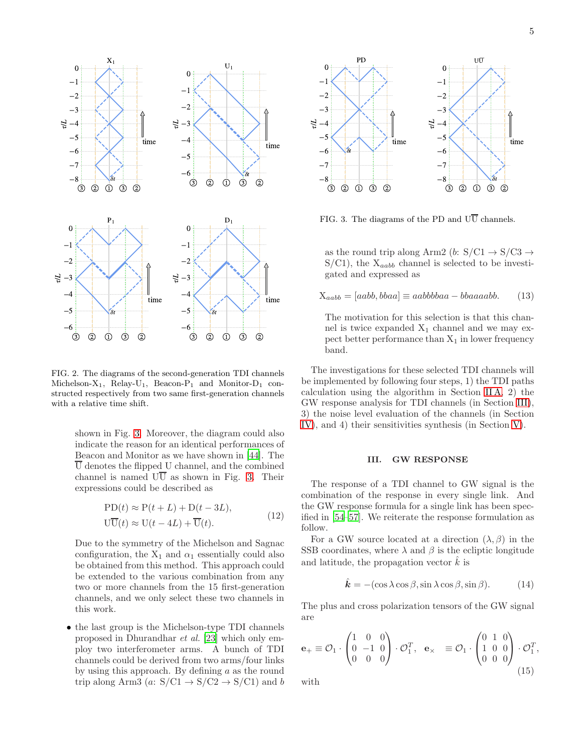

<span id="page-4-1"></span>FIG. 2. The diagrams of the second-generation TDI channels Michelson- $X_1$ , Relay-U<sub>1</sub>, Beacon-P<sub>1</sub> and Monitor-D<sub>1</sub> constructed respectively from two same first-generation channels with a relative time shift.

shown in Fig. [3.](#page-4-2) Moreover, the diagram could also indicate the reason for an identical performances of Beacon and Monitor as we have shown in [\[44](#page-11-15)]. The  $\overline{U}$  denotes the flipped U channel, and the combined channel is named  $U\overline{U}$  as shown in Fig. [3.](#page-4-2) Their expressions could be described as

$$
PD(t) \approx P(t+L) + D(t-3L),
$$
  
\n
$$
U\overline{U}(t) \approx U(t-4L) + \overline{U}(t).
$$
\n(12)

Due to the symmetry of the Michelson and Sagnac configuration, the  $X_1$  and  $\alpha_1$  essentially could also be obtained from this method. This approach could be extended to the various combination from any two or more channels from the 15 first-generation channels, and we only select these two channels in this work.

• the last group is the Michelson-type TDI channels proposed in Dhurandhar et al. [\[23\]](#page-11-17) which only employ two interferometer arms. A bunch of TDI channels could be derived from two arms/four links by using this approach. By defining  $a$  as the round trip along Arm3 (a:  $S/C1 \rightarrow S/C2 \rightarrow S/C1$ ) and b



<span id="page-4-2"></span>FIG. 3. The diagrams of the PD and  $U\overline{U}$  channels.

as the round trip along Arm2 (b:  $S/C1 \rightarrow S/C3 \rightarrow$  $S/C1$ , the  $X_{aabb}$  channel is selected to be investigated and expressed as

<span id="page-4-4"></span>
$$
X_{aabb} = [aabb, bbaa] \equiv aabbbbaa - bbaaaabb. \qquad (13)
$$

The motivation for this selection is that this channel is twice expanded  $X_1$  channel and we may expect better performance than  $X_1$  in lower frequency band.

The investigations for these selected TDI channels will be implemented by following four steps, 1) the TDI paths calculation using the algorithm in Section [II A,](#page-1-2) 2) the GW response analysis for TDI channels (in Section [III\)](#page-4-0), 3) the noise level evaluation of the channels (in Section [IV\)](#page-6-0), and 4) their sensitivities synthesis (in Section [V\)](#page-7-0).

#### <span id="page-4-0"></span>III. GW RESPONSE

The response of a TDI channel to GW signal is the combination of the response in every single link. And the GW response formula for a single link has been specified in [\[54](#page-12-2)[–57](#page-12-3)]. We reiterate the response formulation as follow.

For a GW source located at a direction  $(\lambda, \beta)$  in the SSB coordinates, where  $\lambda$  and  $\beta$  is the ecliptic longitude and latitude, the propagation vector  $\hat{k}$  is

<span id="page-4-3"></span>
$$
\hat{\mathbf{k}} = -(\cos \lambda \cos \beta, \sin \lambda \cos \beta, \sin \beta). \tag{14}
$$

The plus and cross polarization tensors of the GW signal are

$$
\mathbf{e}_{+} \equiv \mathcal{O}_{1} \cdot \begin{pmatrix} 1 & 0 & 0 \\ 0 & -1 & 0 \\ 0 & 0 & 0 \end{pmatrix} \cdot \mathcal{O}_{1}^{T}, \quad \mathbf{e}_{\times} \equiv \mathcal{O}_{1} \cdot \begin{pmatrix} 0 & 1 & 0 \\ 1 & 0 & 0 \\ 0 & 0 & 0 \end{pmatrix} \cdot \mathcal{O}_{1}^{T},
$$
\n(15)

with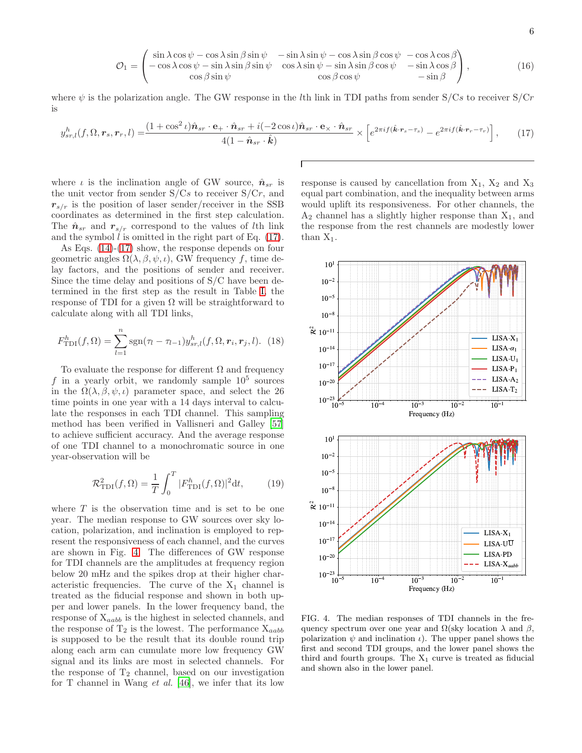$$
\mathcal{O}_1 = \begin{pmatrix}\n\sin \lambda \cos \psi - \cos \lambda \sin \beta \sin \psi & -\sin \lambda \sin \psi - \cos \lambda \sin \beta \cos \psi & -\cos \lambda \cos \beta \\
-\cos \lambda \cos \psi - \sin \lambda \sin \beta \sin \psi & \cos \lambda \sin \psi - \sin \lambda \sin \beta \cos \psi & -\sin \lambda \cos \beta \\
\cos \beta \sin \psi & \cos \beta \cos \psi & -\sin \beta\n\end{pmatrix},
$$
\n(16)

where  $\psi$  is the polarization angle. The GW response in the *l*th link in TDI paths from sender S/Cs to receiver S/Cr is

<span id="page-5-0"></span>
$$
y_{sr,l}^h(f, \Omega, \mathbf{r}_s, \mathbf{r}_r, l) = \frac{(1 + \cos^2 \iota)\hat{\mathbf{n}}_{sr} \cdot \mathbf{e}_+ \cdot \hat{\mathbf{n}}_{sr} + i(-2 \cos \iota)\hat{\mathbf{n}}_{sr} \cdot \mathbf{e}_\times \cdot \hat{\mathbf{n}}_{sr}}{4(1 - \hat{\mathbf{n}}_{sr} \cdot \hat{\mathbf{k}})} \times \left[ e^{2\pi i f(\hat{\mathbf{k}} \cdot \mathbf{r}_s - \tau_s)} - e^{2\pi i f(\hat{\mathbf{k}} \cdot \mathbf{r}_r - \tau_r)} \right],
$$
(17)

Г

where  $\iota$  is the inclination angle of GW source,  $\hat{\mathbf{n}}_{sr}$  is the unit vector from sender  $S/Cs$  to receiver  $S/Cr$ , and  $r_{s/r}$  is the position of laser sender/receiver in the SSB coordinates as determined in the first step calculation. The  $\hat{n}_{sr}$  and  $r_{s/r}$  correspond to the values of lth link and the symbol  $l$  is omitted in the right part of Eq.  $(17)$ .

As Eqs. [\(14\)](#page-4-3)-[\(17\)](#page-5-0) show, the response depends on four geometric angles  $\Omega(\lambda, \beta, \psi, \iota)$ , GW frequency f, time delay factors, and the positions of sender and receiver. Since the time delay and positions of S/C have been determined in the first step as the result in Table [I,](#page-2-1) the response of TDI for a given  $\Omega$  will be straightforward to calculate along with all TDI links,

$$
F_{\text{TDI}}^{h}(f,\Omega) = \sum_{l=1}^{n} \text{sgn}(\tau_{l} - \tau_{l-1}) y_{sr,l}^{h}(f,\Omega,\mathbf{r}_{i},\mathbf{r}_{j},l). \tag{18}
$$

To evaluate the response for different  $\Omega$  and frequency f in a yearly orbit, we randomly sample  $10^5$  sources in the  $\Omega(\lambda, \beta, \psi, \iota)$  parameter space, and select the 26 time points in one year with a 14 days interval to calculate the responses in each TDI channel. This sampling method has been verified in Vallisneri and Galley [\[57](#page-12-3)] to achieve sufficient accuracy. And the average response of one TDI channel to a monochromatic source in one year-observation will be

$$
\mathcal{R}_{\rm TDI}^2(f,\Omega) = \frac{1}{T} \int_0^T |F_{\rm TDI}^h(f,\Omega)|^2 \mathrm{d}t,\tag{19}
$$

where  $T$  is the observation time and is set to be one year. The median response to GW sources over sky location, polarization, and inclination is employed to represent the responsiveness of each channel, and the curves are shown in Fig. [4.](#page-5-1) The differences of GW response for TDI channels are the amplitudes at frequency region below 20 mHz and the spikes drop at their higher characteristic frequencies. The curve of the  $X_1$  channel is treated as the fiducial response and shown in both upper and lower panels. In the lower frequency band, the response of  $X_{aabb}$  is the highest in selected channels, and the response of  $T_2$  is the lowest. The performance  $X_{aabb}$ is supposed to be the result that its double round trip along each arm can cumulate more low frequency GW signal and its links are most in selected channels. For the response of  $T_2$  channel, based on our investigation for  $T$  channel in Wang *et al.* [\[46\]](#page-11-20), we infer that its low

response is caused by cancellation from  $X_1$ ,  $X_2$  and  $X_3$ equal part combination, and the inequality between arms would uplift its responsiveness. For other channels, the  $A_2$  channel has a slightly higher response than  $X_1$ , and the response from the rest channels are modestly lower than  $X_1$ .

![](_page_5_Figure_10.jpeg)

<span id="page-5-1"></span>FIG. 4. The median responses of TDI channels in the frequency spectrum over one year and  $\Omega$ (sky location  $\lambda$  and  $\beta$ , polarization  $\psi$  and inclination  $\iota$ ). The upper panel shows the first and second TDI groups, and the lower panel shows the third and fourth groups. The  $X_1$  curve is treated as fiducial and shown also in the lower panel.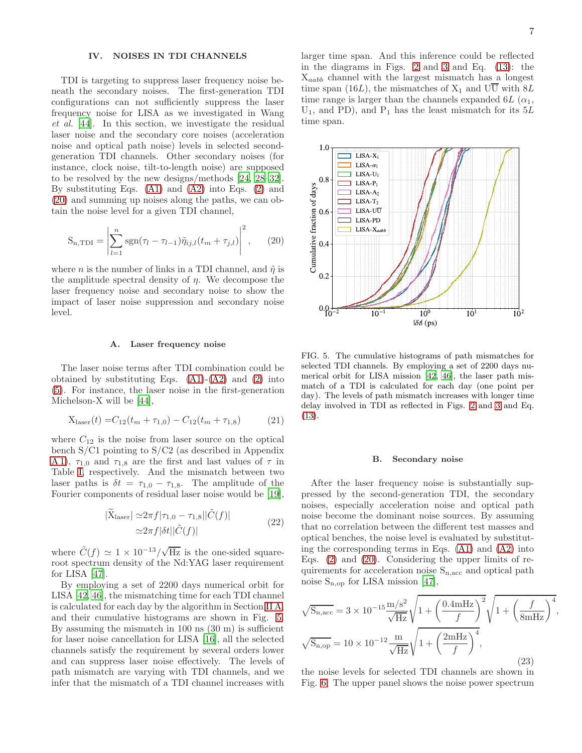### <span id="page-6-0"></span>IV. NOISES IN TDI CHANNELS

TDI is targeting to suppress laser frequency noise beneath the secondary noises. The first-generation TDI configurations can not sufficiently suppress the laser frequency noise for LISA as we investigated in Wang et al. [\[44\]](#page-11-15). In this section, we investigate the residual laser noise and the secondary core noises (acceleration noise and optical path noise) levels in selected secondgeneration TDI channels. Other secondary noises (for instance, clock noise, tilt-to-length noise) are supposed to be resolved by the new designs/methods [\[24](#page-11-3), [28](#page-11-4)[–32\]](#page-11-7). By substituting Eqs.  $(A1)$  and  $(A2)$  into Eqs.  $(2)$  and [\(20\)](#page-6-1) and summing up noises along the paths, we can obtain the noise level for a given TDI channel,

<span id="page-6-1"></span>
$$
S_{n,TDI} = \left| \sum_{l=1}^{n} sgn(\tau_l - \tau_{l-1}) \tilde{\eta}_{ij,l} (t_m + \tau_{j,l}) \right|^2, \qquad (20)
$$

where *n* is the number of links in a TDI channel, and  $\tilde{\eta}$  is the amplitude spectral density of  $\eta$ . We decompose the laser frequency noise and secondary noise to show the impact of laser noise suppression and secondary noise level.

#### A. Laser frequency noise

The laser noise terms after TDI combination could be obtained by substituting Eqs.  $(A1)-(A2)$  $(A1)-(A2)$  and  $(2)$  into [\(5\)](#page-2-3). For instance, the laser noise in the first-generation Michelson-X will be [\[44\]](#page-11-15),

$$
X_{laser}(t) = C_{12}(t_m + \tau_{1,0}) - C_{12}(t_m + \tau_{1,8})
$$
 (21)

where  $C_{12}$  is the noise from laser source on the optical bench S/C1 pointing to S/C2 (as described in Appendix [A 1\)](#page-9-0),  $\tau_{1,0}$  and  $\tau_{1,8}$  are the first and last values of  $\tau$  in Table [I,](#page-2-1) respectively. And the mismatch between two laser paths is  $\delta t = \tau_{1,0} - \tau_{1,8}$ . The amplitude of the Fourier components of residual laser noise would be [\[19\]](#page-11-0),

$$
|\widetilde{X}_{\text{laser}}| \simeq 2\pi f |\tau_{1,0} - \tau_{1,8}||\widetilde{C}(f)|
$$
  

$$
\simeq 2\pi f |\delta t| |\widetilde{C}(f)| \tag{22}
$$

where  $\tilde{C}(f) \simeq 1 \times 10^{-13} / \sqrt{\text{Hz}}$  is the one-sided squareroot spectrum density of the Nd:YAG laser requirement for LISA [\[47](#page-11-21)].

By employing a set of 2200 days numerical orbit for LISA [\[42,](#page-11-29) [46\]](#page-11-20), the mismatching time for each TDI channel is calculated for each day by the algorithm in Section [II A,](#page-1-2) and their cumulative histograms are shown in Fig. [5.](#page-6-2) By assuming the mismatch in 100 ns (30 m) is sufficient for laser noise cancellation for LISA [\[16\]](#page-11-23), all the selected channels satisfy the requirement by several orders lower and can suppress laser noise effectively. The levels of path mismatch are varying with TDI channels, and we infer that the mismatch of a TDI channel increases with larger time span. And this inference could be reflected in the diagrams in Figs. [2](#page-4-1) and [3](#page-4-2) and Eq. [\(13\)](#page-4-4): the  $X_{aabb}$  channel with the largest mismatch has a longest time span (16L), the mismatches of  $X_1$  and  $U\overline{U}$  with  $8L$ time range is larger than the channels expanded  $6L (\alpha_1,$  $U_1$ , and PD), and P<sub>1</sub> has the least mismatch for its 5L time span.

![](_page_6_Figure_13.jpeg)

<span id="page-6-2"></span>FIG. 5. The cumulative histograms of path mismatches for selected TDI channels. By employing a set of 2200 days numerical orbit for LISA mission [\[42,](#page-11-29) [46](#page-11-20)], the laser path mismatch of a TDI is calculated for each day (one point per day). The levels of path mismatch increases with longer time delay involved in TDI as reflected in Figs. [2](#page-4-1) and [3](#page-4-2) and Eq. [\(13\)](#page-4-4).

### B. Secondary noise

After the laser frequency noise is substantially suppressed by the second-generation TDI, the secondary noises, especially acceleration noise and optical path noise become the dominant noise sources. By assuming that no correlation between the different test masses and optical benches, the noise level is evaluated by substituting the corresponding terms in Eqs.  $(A1)$  and  $(A2)$  into Eqs. [\(2\)](#page-1-3) and [\(20\)](#page-6-1). Considering the upper limits of requirements for acceleration noise  $S_{n,\text{acc}}$  and optical path noise  $S_{n,\text{on}}$  for LISA mission [\[47](#page-11-21)],

$$
\sqrt{S_{n,\text{acc}}} = 3 \times 10^{-15} \frac{\text{m/s}^2}{\sqrt{\text{Hz}}} \sqrt{1 + \left(\frac{0.4 \text{mHz}}{f}\right)^2} \sqrt{1 + \left(\frac{f}{8 \text{mHz}}\right)^4},
$$
  

$$
\sqrt{S_{n,\text{op}}} = 10 \times 10^{-12} \frac{\text{m}}{\sqrt{\text{Hz}}} \sqrt{1 + \left(\frac{2 \text{mHz}}{f}\right)^4},
$$
(23)

the noise levels for selected TDI channels are shown in Fig. [6.](#page-7-1) The upper panel shows the noise power spectrum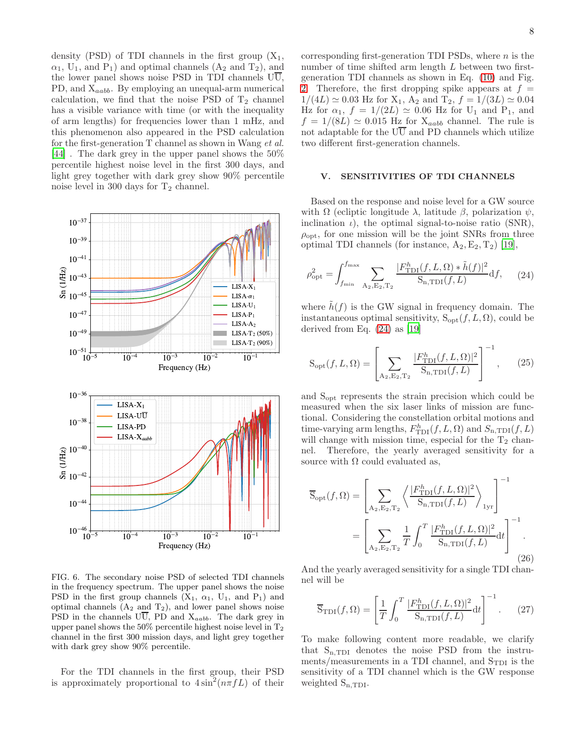density (PSD) of TDI channels in the first group  $(X_1,$  $\alpha_1$ , U<sub>1</sub>, and P<sub>1</sub>) and optimal channels  $(A_2 \text{ and } T_2)$ , and the lower panel shows noise PSD in TDI channels  $U\overline{U}$ , PD, and  $X_{aabb}$ . By employing an unequal-arm numerical calculation, we find that the noise PSD of  $T_2$  channel has a visible variance with time (or with the inequality of arm lengths) for frequencies lower than 1 mHz, and this phenomenon also appeared in the PSD calculation for the first-generation T channel as shown in Wang et al. [\[44\]](#page-11-15) . The dark grey in the upper panel shows the 50% percentile highest noise level in the first 300 days, and light grey together with dark grey show 90% percentile noise level in 300 days for  $T_2$  channel.

![](_page_7_Figure_1.jpeg)

<span id="page-7-1"></span>FIG. 6. The secondary noise PSD of selected TDI channels in the frequency spectrum. The upper panel shows the noise PSD in the first group channels  $(X_1, \alpha_1, U_1, \text{ and } P_1)$  and optimal channels  $(A_2 \text{ and } T_2)$ , and lower panel shows noise PSD in the channels  $\overline{UU}$ , PD and  $X_{aabb}$ . The dark grey in upper panel shows the  $50\%$  percentile highest noise level in  $T_2$ channel in the first 300 mission days, and light grey together with dark grey show 90% percentile.

For the TDI channels in the first group, their PSD is approximately proportional to  $4\sin^2(n\pi fL)$  of their corresponding first-generation TDI PSDs, where  $n$  is the number of time shifted arm length L between two firstgeneration TDI channels as shown in Eq. [\(10\)](#page-3-0) and Fig. [2.](#page-4-1) Therefore, the first dropping spike appears at  $f =$  $1/(4L) \approx 0.03$  Hz for  $X_1$ ,  $A_2$  and  $T_2$ ,  $f = 1/(3L) \approx 0.04$ Hz for  $\alpha_1$ ,  $f = 1/(2L) \simeq 0.06$  Hz for U<sub>1</sub> and P<sub>1</sub>, and  $f = 1/(8L) \simeq 0.015$  Hz for  $X_{aabb}$  channel. The rule is not adaptable for the  $U\overline{U}$  and PD channels which utilize two different first-generation channels.

### <span id="page-7-0"></span>V. SENSITIVITIES OF TDI CHANNELS

Based on the response and noise level for a GW source with  $\Omega$  (ecliptic longitude  $\lambda$ , latitude  $\beta$ , polarization  $\psi$ , inclination  $\iota$ ), the optimal signal-to-noise ratio (SNR),  $\rho_{\rm opt}$ , for one mission will be the joint SNRs from three optimal TDI channels (for instance,  $A_2, E_2, T_2$ ) [\[19\]](#page-11-0),

<span id="page-7-2"></span>
$$
\rho_{\rm opt}^2 = \int_{f_{\rm min}}^{f_{\rm max}} \sum_{\mathbf{A}_2, \mathbf{E}_2, \mathbf{T}_2} \frac{|F_{\rm TDI}^h(f, L, \Omega) * \tilde{h}(f)|^2}{\mathbf{S}_{\rm n, TDI}(f, L)} \mathrm{d}f,\qquad(24)
$$

where  $h(f)$  is the GW signal in frequency domain. The instantaneous optimal sensitivity,  $S_{opt}(f, L, \Omega)$ , could be derived from Eq. [\(24\)](#page-7-2) as [\[19\]](#page-11-0)

$$
S_{\rm opt}(f, L, \Omega) = \left[ \sum_{A_2, E_2, T_2} \frac{|F_{\rm TDI}^h(f, L, \Omega)|^2}{S_{\rm n, TDI}(f, L)} \right]^{-1}, \qquad (25)
$$

and Sopt represents the strain precision which could be measured when the six laser links of mission are functional. Considering the constellation orbital motions and time-varying arm lengths,  $F_{\text{TDI}}^h(f, L, \Omega)$  and  $S_{n,\text{TDI}}(f, L)$ will change with mission time, especial for the  $T_2$  channel. Therefore, the yearly averaged sensitivity for a source with  $\Omega$  could evaluated as,

$$
\overline{S}_{opt}(f,\Omega) = \left[ \sum_{A_2, E_2, T_2} \left\langle \frac{|F_{\text{TDI}}^h(f, L, \Omega)|^2}{S_{n, \text{TDI}}(f, L)} \right\rangle_{\text{1yr}} \right]^{-1}
$$
\n
$$
= \left[ \sum_{A_2, E_2, T_2} \frac{1}{T} \int_0^T \frac{|F_{\text{TDI}}^h(f, L, \Omega)|^2}{S_{n, \text{TDI}}(f, L)} dt \right]^{-1}.
$$
\n(26)

And the yearly averaged sensitivity for a single TDI channel will be

$$
\overline{S}_{\text{TDI}}(f,\Omega) = \left[\frac{1}{T} \int_0^T \frac{|F_{\text{TDI}}^h(f,L,\Omega)|^2}{S_{\text{n,TDI}}(f,L)} dt\right]^{-1}.
$$
 (27)

To make following content more readable, we clarify that  $S_{n,TDI}$  denotes the noise PSD from the instruments/measurements in a TDI channel, and  $S<sub>TDI</sub>$  is the sensitivity of a TDI channel which is the GW response weighted  $S_{n,TDI}$ .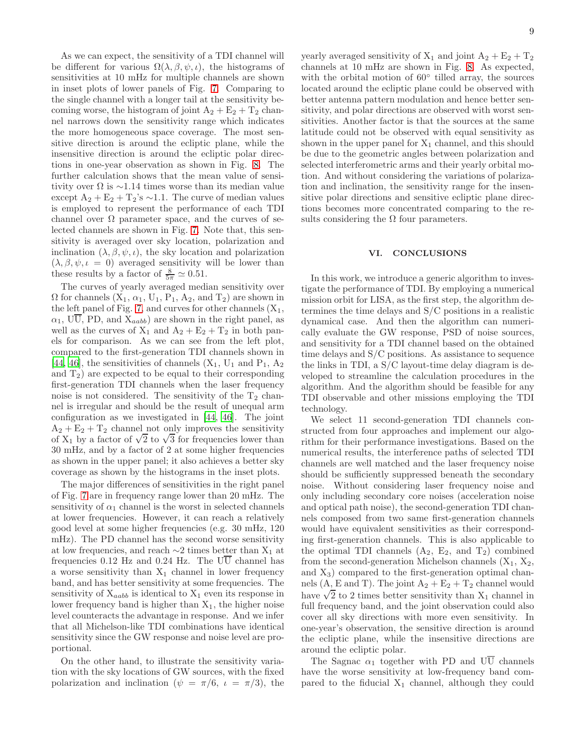As we can expect, the sensitivity of a TDI channel will be different for various  $\Omega(\lambda, \beta, \psi, \iota)$ , the histograms of sensitivities at 10 mHz for multiple channels are shown in inset plots of lower panels of Fig. [7.](#page-9-3) Comparing to the single channel with a longer tail at the sensitivity becoming worse, the histogram of joint  $A_2 + E_2 + T_2$  channel narrows down the sensitivity range which indicates the more homogeneous space coverage. The most sensitive direction is around the ecliptic plane, while the insensitive direction is around the ecliptic polar directions in one-year observation as shown in Fig. [8.](#page-10-8) The further calculation shows that the mean value of sensitivity over  $\Omega$  is ~1.14 times worse than its median value except  $A_2 + E_2 + T_2$ 's ∼1.1. The curve of median values is employed to represent the performance of each TDI channel over  $\Omega$  parameter space, and the curves of selected channels are shown in Fig. [7.](#page-9-3) Note that, this sensitivity is averaged over sky location, polarization and inclination  $(\lambda, \beta, \psi, \iota)$ , the sky location and polarization  $(\lambda, \beta, \psi, \iota = 0)$  averaged sensitivity will be lower than these results by a factor of  $\frac{8}{5\pi} \simeq 0.51$ .

The curves of yearly averaged median sensitivity over  $\Omega$  for channels  $(X_1, \alpha_1, U_1, P_1, A_2, \text{ and } T_2)$  are shown in the left panel of Fig. [7,](#page-9-3) and curves for other channels  $(X_1,$  $\alpha_1$ , UU, PD, and  $X_{aabb}$  are shown in the right panel, as well as the curves of  $X_1$  and  $A_2 + E_2 + T_2$  in both panels for comparison. As we can see from the left plot, compared to the first-generation TDI channels shown in [\[44,](#page-11-15) [46\]](#page-11-20), the sensitivities of channels  $(X_1, U_1 \text{ and } P_1, A_2)$ and  $T_2$ ) are expected to be equal to their corresponding first-generation TDI channels when the laser frequency noise is not considered. The sensitivity of the  $T_2$  channel is irregular and should be the result of unequal arm configuration as we investigated in [\[44,](#page-11-15) [46\]](#page-11-20). The joint  $A_2 + E_2 + T_2$  channel not only improves the sensitivity of  $X_1$  by a factor of  $\sqrt{2}$  to  $\sqrt{3}$  for frequencies lower than 30 mHz, and by a factor of 2 at some higher frequencies as shown in the upper panel; it also achieves a better sky coverage as shown by the histograms in the inset plots.

The major differences of sensitivities in the right panel of Fig. [7](#page-9-3) are in frequency range lower than 20 mHz. The sensitivity of  $\alpha_1$  channel is the worst in selected channels at lower frequencies. However, it can reach a relatively good level at some higher frequencies (e.g. 30 mHz, 120 mHz). The PD channel has the second worse sensitivity at low frequencies, and reach  $\sim$ 2 times better than X<sub>1</sub> at frequencies 0.12 Hz and 0.24 Hz. The  $U\overline{U}$  channel has a worse sensitivity than  $X_1$  channel in lower frequency band, and has better sensitivity at some frequencies. The sensitivity of  $X_{aabb}$  is identical to  $X_1$  even its response in lower frequency band is higher than  $X_1$ , the higher noise level counteracts the advantage in response. And we infer that all Michelson-like TDI combinations have identical sensitivity since the GW response and noise level are proportional.

On the other hand, to illustrate the sensitivity variation with the sky locations of GW sources, with the fixed polarization and inclination ( $\psi = \pi/6$ ,  $\iota = \pi/3$ ), the yearly averaged sensitivity of  $X_1$  and joint  $A_2 + E_2 + T_2$ channels at 10 mHz are shown in Fig. [8.](#page-10-8) As expected, with the orbital motion of  $60^{\circ}$  tilled array, the sources located around the ecliptic plane could be observed with better antenna pattern modulation and hence better sensitivity, and polar directions are observed with worst sensitivities. Another factor is that the sources at the same latitude could not be observed with equal sensitivity as shown in the upper panel for  $X_1$  channel, and this should be due to the geometric angles between polarization and selected interferometric arms and their yearly orbital motion. And without considering the variations of polarization and inclination, the sensitivity range for the insensitive polar directions and sensitive ecliptic plane directions becomes more concentrated comparing to the results considering the  $\Omega$  four parameters.

#### <span id="page-8-0"></span>VI. CONCLUSIONS

In this work, we introduce a generic algorithm to investigate the performance of TDI. By employing a numerical mission orbit for LISA, as the first step, the algorithm determines the time delays and S/C positions in a realistic dynamical case. And then the algorithm can numerically evaluate the GW response, PSD of noise sources, and sensitivity for a TDI channel based on the obtained time delays and S/C positions. As assistance to sequence the links in TDI, a S/C layout-time delay diagram is developed to streamline the calculation procedures in the algorithm. And the algorithm should be feasible for any TDI observable and other missions employing the TDI technology.

We select 11 second-generation TDI channels constructed from four approaches and implement our algorithm for their performance investigations. Based on the numerical results, the interference paths of selected TDI channels are well matched and the laser frequency noise should be sufficiently suppressed beneath the secondary noise. Without considering laser frequency noise and only including secondary core noises (acceleration noise and optical path noise), the second-generation TDI channels composed from two same first-generation channels would have equivalent sensitivities as their corresponding first-generation channels. This is also applicable to the optimal TDI channels  $(A_2, E_2, \text{ and } T_2)$  combined from the second-generation Michelson channels  $(X_1, X_2,$ and  $X_3$ ) compared to the first-generation optimal channels  $(A, E \text{ and } T)$ . The joint  $A_2 + E_2 + T_2$  channel would have  $\sqrt{2}$  to 2 times better sensitivity than  $X_1$  channel in full frequency band, and the joint observation could also cover all sky directions with more even sensitivity. In one-year's observation, the sensitive direction is around the ecliptic plane, while the insensitive directions are around the ecliptic polar.

The Sagnac  $\alpha_1$  together with PD and UU channels have the worse sensitivity at low-frequency band compared to the fiducial  $X_1$  channel, although they could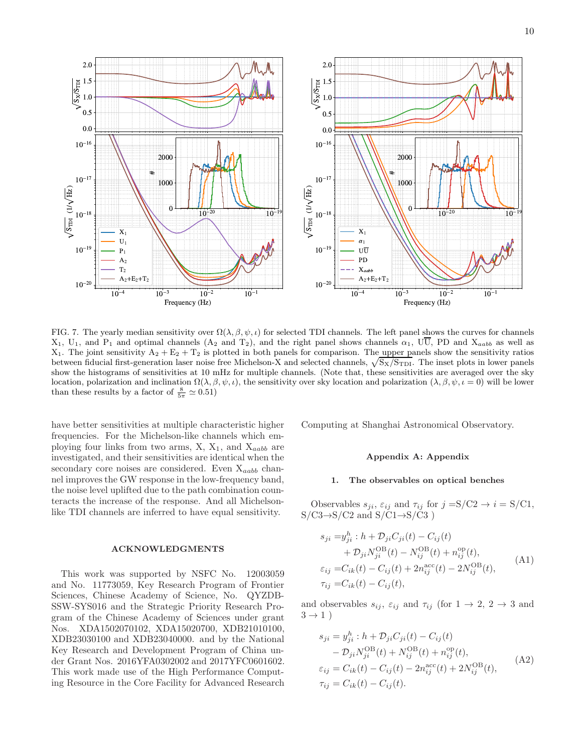![](_page_9_Figure_1.jpeg)

<span id="page-9-3"></span>FIG. 7. The yearly median sensitivity over  $\Omega(\lambda, \beta, \psi, \iota)$  for selected TDI channels. The left panel shows the curves for channels  $X_1$ ,  $U_1$ , and  $P_1$  and optimal channels  $(A_2 \text{ and } T_2)$ , and the right panel shows channels  $\alpha_1$ ,  $U\overline{U}$ , PD and  $X_{aabb}$  as well as  $X_1$ . The joint sensitivity  $A_2 + E_2 + T_2$  is plotted in both panels for comparison. The upper panels show the sensitivity ratios between fiducial first-generation laser noise free Michelson-X and selected channels,  $\sqrt{S_X/S_{\text{TDI}}}$ . The inset plots in lower panels show the histograms of sensitivities at 10 mHz for multiple channels. (Note that, these sensitivities are averaged over the sky location, polarization and inclination  $\Omega(\lambda, \beta, \psi, \iota)$ , the sensitivity over sky location and polarization  $(\lambda, \beta, \psi, \iota = 0)$  will be lower than these results by a factor of  $\frac{8}{5\pi} \simeq 0.51$ )

have better sensitivities at multiple characteristic higher frequencies. For the Michelson-like channels which employing four links from two arms,  $X$ ,  $X_1$ , and  $X_{aabb}$  are investigated, and their sensitivities are identical when the secondary core noises are considered. Even  $X_{aabb}$  channel improves the GW response in the low-frequency band, the noise level uplifted due to the path combination counteracts the increase of the response. And all Michelsonlike TDI channels are inferred to have equal sensitivity.

#### ACKNOWLEDGMENTS

This work was supported by NSFC No. 12003059 and No. 11773059, Key Research Program of Frontier Sciences, Chinese Academy of Science, No. QYZDB-SSW-SYS016 and the Strategic Priority Research Program of the Chinese Academy of Sciences under grant Nos. XDA1502070102, XDA15020700, XDB21010100, XDB23030100 and XDB23040000. and by the National Key Research and Development Program of China under Grant Nos. 2016YFA0302002 and 2017YFC0601602. This work made use of the High Performance Computing Resource in the Core Facility for Advanced Research Computing at Shanghai Astronomical Observatory.

### Appendix A: Appendix

### <span id="page-9-0"></span>1. The observables on optical benches

Observables  $s_{ji}$ ,  $\varepsilon_{ij}$  and  $\tau_{ij}$  for  $j = S/C2 \rightarrow i = S/C1$ ,  $S/C3 \rightarrow S/C2$  and  $S/C1 \rightarrow S/C3$ )

<span id="page-9-1"></span>
$$
s_{ji} = y_{ji}^h : h + \mathcal{D}_{ji} C_{ji}(t) - C_{ij}(t) + \mathcal{D}_{ji} N_{ji}^{\text{OB}}(t) - N_{ij}^{\text{OB}}(t) + n_{ij}^{\text{op}}(t), \varepsilon_{ij} = C_{ik}(t) - C_{ij}(t) + 2n_{ij}^{\text{acc}}(t) - 2N_{ij}^{\text{OB}}(t), \tau_{ij} = C_{ik}(t) - C_{ij}(t),
$$
\n(A1)

and observables  $s_{ij}$ ,  $\varepsilon_{ij}$  and  $\tau_{ij}$  (for  $1 \to 2$ ,  $2 \to 3$  and  $3 \rightarrow 1$ )

<span id="page-9-2"></span>
$$
s_{ji} = y_{ji}^h : h + \mathcal{D}_{ji} C_{ji}(t) - C_{ij}(t) - \mathcal{D}_{ji} N_{ji}^{\text{OB}}(t) + N_{ij}^{\text{OB}}(t) + n_{ij}^{\text{op}}(t), \varepsilon_{ij} = C_{ik}(t) - C_{ij}(t) - 2n_{ij}^{\text{acc}}(t) + 2N_{ij}^{\text{OB}}(t), \tau_{ij} = C_{ik}(t) - C_{ij}(t).
$$
\n(A2)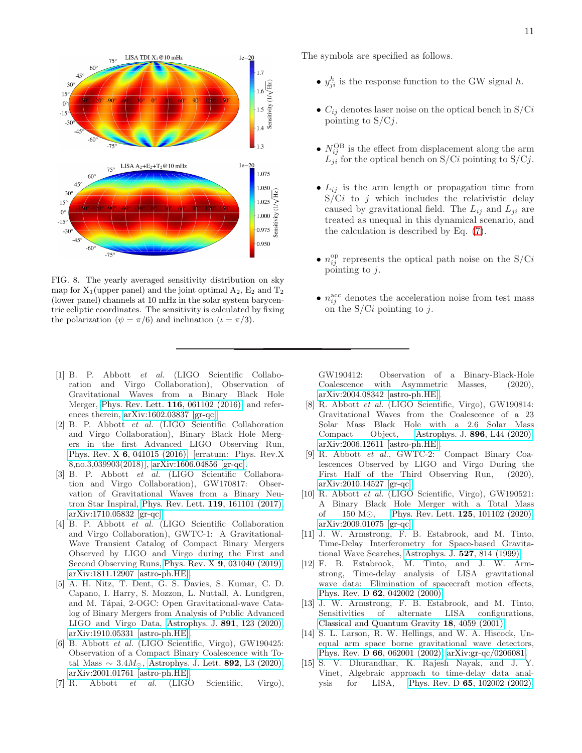![](_page_10_Figure_0.jpeg)

<span id="page-10-8"></span>FIG. 8. The yearly averaged sensitivity distribution on sky map for  $X_1$ (upper panel) and the joint optimal  $A_2$ ,  $E_2$  and  $T_2$ (lower panel) channels at 10 mHz in the solar system barycentric ecliptic coordinates. The sensitivity is calculated by fixing the polarization ( $\psi = \pi/6$ ) and inclination ( $\iota = \pi/3$ ).

- <span id="page-10-0"></span>[1] B. P. Abbott et al. (LIGO Scientific Collaboration and Virgo Collaboration), Observation of Gravitational Waves from a Binary Black Hole Merger, [Phys. Rev. Lett.](https://doi.org/10.1103/PhysRevLett.116.061102) 116, 061102 (2016), and references therein, [arXiv:1602.03837 \[gr-qc\].](https://arxiv.org/abs/1602.03837)
- [2] B. P. Abbott et al. (LIGO Scientific Collaboration and Virgo Collaboration), Binary Black Hole Mergers in the first Advanced LIGO Observing Run, Phys. Rev. X 6[, 041015 \(2016\),](https://doi.org/10.1103/PhysRevX.6.041015, 10.1103/PhysRevX.8.039903) [erratum: Phys. Rev.X 8,no.3,039903(2018)], [arXiv:1606.04856 \[gr-qc\].](https://arxiv.org/abs/1606.04856)
- <span id="page-10-2"></span>[3] B. P. Abbott et al. (LIGO Scientific Collaboration and Virgo Collaboration), GW170817: Observation of Gravitational Waves from a Binary Neutron Star Inspiral, [Phys. Rev. Lett.](https://doi.org/10.1103/PhysRevLett.119.161101) 119, 161101 (2017), [arXiv:1710.05832 \[gr-qc\].](https://arxiv.org/abs/1710.05832)
- [4] B. P. Abbott et al. (LIGO Scientific Collaboration and Virgo Collaboration), GWTC-1: A Gravitational-Wave Transient Catalog of Compact Binary Mergers Observed by LIGO and Virgo during the First and Second Observing Runs, Phys. Rev. X 9[, 031040 \(2019\),](https://doi.org/10.1103/PhysRevX.9.031040) [arXiv:1811.12907 \[astro-ph.HE\].](https://arxiv.org/abs/1811.12907)
- [5] A. H. Nitz, T. Dent, G. S. Davies, S. Kumar, C. D. Capano, I. Harry, S. Mozzon, L. Nuttall, A. Lundgren, and M. Tápai, 2-OGC: Open Gravitational-wave Catalog of Binary Mergers from Analysis of Public Advanced LIGO and Virgo Data, [Astrophys. J.](https://doi.org/10.3847/1538-4357/ab733f) 891, 123 (2020), [arXiv:1910.05331 \[astro-ph.HE\].](https://arxiv.org/abs/1910.05331)
- <span id="page-10-3"></span>[6] B. Abbott et al. (LIGO Scientific, Virgo), GW190425: Observation of a Compact Binary Coalescence with Total Mass  $\sim 3.4 M_{\odot}$ , [Astrophys. J. Lett.](https://doi.org/10.3847/2041-8213/ab75f5) 892, L3 (2020), [arXiv:2001.01761 \[astro-ph.HE\].](https://arxiv.org/abs/2001.01761)
- [7] R. Abbott et al. (LIGO Scientific, Virgo),

The symbols are specified as follows.

- $y_{ji}^h$  is the response function to the GW signal h.
- $C_{ij}$  denotes laser noise on the optical bench in  $S/Ci$ pointing to  $S/Cj$ .
- $N_{ij}^{\text{OB}}$  is the effect from displacement along the arm  $L_{ii}$  for the optical bench on S/Ci pointing to S/Cj.
- $L_{ij}$  is the arm length or propagation time from  $S/Ci$  to j which includes the relativistic delay caused by gravitational field. The  $L_{ij}$  and  $L_{ji}$  are treated as unequal in this dynamical scenario, and the calculation is described by Eq. [\(7\)](#page-3-1).
- $n_{ij}^{\text{op}}$  represents the optical path noise on the S/Ci pointing to  $j$ .
- $n_{ij}^{\text{acc}}$  denotes the acceleration noise from test mass on the  $S/Ci$  pointing to j.

GW190412: Observation of a Binary-Black-Hole Coalescence with Asymmetric Masses, (2020), [arXiv:2004.08342 \[astro-ph.HE\].](https://arxiv.org/abs/2004.08342)

- [8] R. Abbott et al. (LIGO Scientific, Virgo), GW190814: Gravitational Waves from the Coalescence of a 23 Solar Mass Black Hole with a 2.6 Solar Mass Compact Object, [Astrophys. J.](https://doi.org/10.3847/2041-8213/ab960f) 896, L44 (2020), [arXiv:2006.12611 \[astro-ph.HE\].](https://arxiv.org/abs/2006.12611)
- <span id="page-10-1"></span>[9] R. Abbott et al., GWTC-2: Compact Binary Coalescences Observed by LIGO and Virgo During the First Half of the Third Observing Run, (2020), [arXiv:2010.14527 \[gr-qc\].](https://arxiv.org/abs/2010.14527)
- <span id="page-10-4"></span>[10] R. Abbott et al. (LIGO Scientific, Virgo), GW190521: A Binary Black Hole Merger with a Total Mass of 150 M⊙, [Phys. Rev. Lett.](https://doi.org/10.1103/PhysRevLett.125.101102) 125, 101102 (2020), [arXiv:2009.01075 \[gr-qc\].](https://arxiv.org/abs/2009.01075)
- <span id="page-10-5"></span>[11] J. W. Armstrong, F. B. Estabrook, and M. Tinto, Time-Delay Interferometry for Space-based Gravitational Wave Searches, [Astrophys. J.](https://doi.org/10.1086/308110) 527, 814 (1999).
- <span id="page-10-6"></span>[12] F. B. Estabrook, M. Tinto, and J. W. Armstrong, Time-delay analysis of LISA gravitational wave data: Elimination of spacecraft motion effects, Phys. Rev. D 62[, 042002 \(2000\).](https://doi.org/10.1103/PhysRevD.62.042002)
- [13] J. W. Armstrong, F. B. Estabrook, and M. Tinto,  ${\rm Sensitivityities} \hspace{2em} {\rm of} \hspace{2em} {\rm alternate} \hspace{2em} {\rm LISA}$ [Classical and Quantum Gravity](https://doi.org/10.1088/0264-9381/18/19/313) 18, 4059 (2001).
- <span id="page-10-7"></span>[14] S. L. Larson, R. W. Hellings, and W. A. Hiscock, Unequal arm space borne gravitational wave detectors, Phys. Rev. D 66[, 062001 \(2002\),](https://doi.org/10.1103/PhysRevD.66.062001) [arXiv:gr-qc/0206081.](https://arxiv.org/abs/gr-qc/0206081)
- [15] S. V. Dhurandhar, K. Rajesh Nayak, and J. Y. Vinet, Algebraic approach to time-delay data analysis for LISA, Phys. Rev. D 65[, 102002 \(2002\),](https://doi.org/10.1103/PhysRevD.65.102002)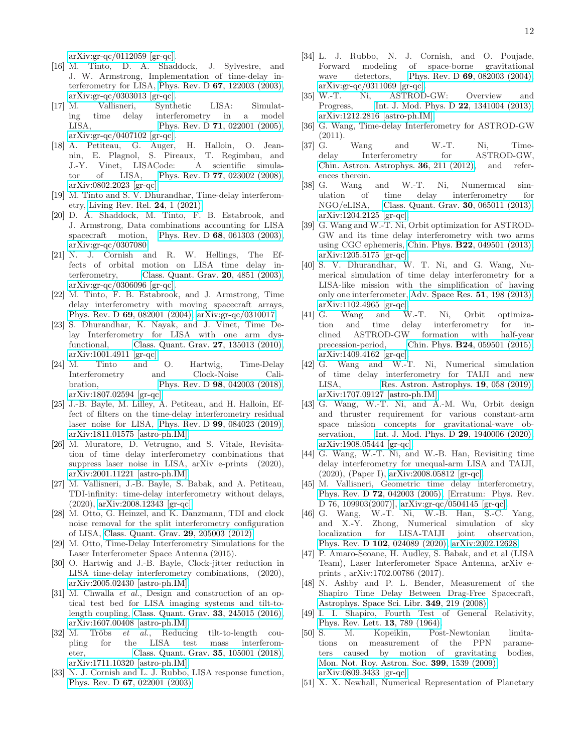[arXiv:gr-qc/0112059 \[gr-qc\].](https://arxiv.org/abs/gr-qc/0112059)

- <span id="page-11-23"></span>[16] M. Tinto, D. A. Shaddock, J. Sylvestre, and J. W. Armstrong, Implementation of time-delay interferometry for LISA, Phys. Rev. D 67[, 122003 \(2003\),](https://doi.org/10.1103/PhysRevD.67.122003)  $arXiv:gr-qc/0303013$  [gr-qc].<br>[17] M. Vallisneri, Synth
- <span id="page-11-8"></span>Vallisneri, Synthetic LISA: Simulating time delay interferometry in a model LISA, Phys. Rev. D **71**[, 022001 \(2005\),](https://doi.org/10.1103/PhysRevD.71.022001) [arXiv:gr-qc/0407102 \[gr-qc\].](https://arxiv.org/abs/gr-qc/0407102)
- <span id="page-11-9"></span>[18] A. Petiteau, G. Auger, H. Halloin, O. Jeannin, E. Plagnol, S. Pireaux, T. Regimbau, and J.-Y. Vinet, LISACode: A scientific simulator of LISA, Phys. Rev. D 77[, 023002 \(2008\),](https://doi.org/10.1103/PhysRevD.77.023002) [arXiv:0802.2023 \[gr-qc\].](https://arxiv.org/abs/0802.2023)
- <span id="page-11-0"></span>[19] M. Tinto and S. V. Dhurandhar, Time-delay interferometry, [Living Rev. Rel.](https://doi.org/10.1007/s41114-020-00029-6) 24, 1 (2021).
- <span id="page-11-1"></span>[20] D. A. Shaddock, M. Tinto, F. B. Estabrook, and J. Armstrong, Data combinations accounting for LISA spacecraft motion, Phys. Rev. D 68[, 061303 \(2003\),](https://doi.org/10.1103/PhysRevD.68.061303) [arXiv:gr-qc/0307080.](https://arxiv.org/abs/gr-qc/0307080)
- [21] N. J. Cornish and R. W. Hellings, The Effects of orbital motion on LISA time delay interferometry, [Class. Quant. Grav.](https://doi.org/10.1088/0264-9381/20/22/009) 20, 4851 (2003), [arXiv:gr-qc/0306096 \[gr-qc\].](https://arxiv.org/abs/gr-qc/0306096)
- <span id="page-11-16"></span>[22] M. Tinto, F. B. Estabrook, and J. Armstrong, Time delay interferometry with moving spacecraft arrays, Phys. Rev. D 69[, 082001 \(2004\),](https://doi.org/10.1103/PhysRevD.69.082001) [arXiv:gr-qc/0310017.](https://arxiv.org/abs/gr-qc/0310017)
- <span id="page-11-17"></span>[23] S. Dhurandhar, K. Nayak, and J. Vinet, Time Delay Interferometry for LISA with one arm dysfunctional, [Class. Quant. Grav.](https://doi.org/10.1088/0264-9381/27/13/135013) 27, 135013 (2010), [arXiv:1001.4911 \[gr-qc\].](https://arxiv.org/abs/1001.4911)
- <span id="page-11-3"></span>[24] M. Tinto and O. Hartwig, Time-Delay Interferometry and Clock-Noise Calibration, Phys. Rev. D **98**[, 042003 \(2018\),](https://doi.org/10.1103/PhysRevD.98.042003) [arXiv:1807.02594 \[gr-qc\].](https://arxiv.org/abs/1807.02594)
- <span id="page-11-10"></span>[25] J.-B. Bayle, M. Lilley, A. Petiteau, and H. Halloin, Effect of filters on the time-delay interferometry residual laser noise for LISA, Phys. Rev. D 99[, 084023 \(2019\),](https://doi.org/10.1103/PhysRevD.99.084023) [arXiv:1811.01575 \[astro-ph.IM\].](https://arxiv.org/abs/1811.01575)
- <span id="page-11-18"></span>[26] M. Muratore, D. Vetrugno, and S. Vitale, Revisitation of time delay interferometry combinations that suppress laser noise in LISA, arXiv e-prints (2020), [arXiv:2001.11221 \[astro-ph.IM\].](https://arxiv.org/abs/2001.11221)
- <span id="page-11-2"></span>[27] M. Vallisneri, J.-B. Bayle, S. Babak, and A. Petiteau, TDI-infinity: time-delay interferometry without delays, (2020), [arXiv:2008.12343 \[gr-qc\].](https://arxiv.org/abs/2008.12343)
- <span id="page-11-4"></span>[28] M. Otto, G. Heinzel, and K. Danzmann, TDI and clock noise removal for the split interferometry configuration of LISA, [Class. Quant. Grav.](https://doi.org/10.1088/0264-9381/29/20/205003) 29, 205003 (2012).
- <span id="page-11-22"></span>[29] M. Otto, Time-Delay Interferometry Simulations for the Laser Interferometer Space Antenna (2015).
- <span id="page-11-5"></span>[30] O. Hartwig and J.-B. Bayle, Clock-jitter reduction in LISA time-delay interferometry combinations, (2020), [arXiv:2005.02430 \[astro-ph.IM\].](https://arxiv.org/abs/2005.02430)
- <span id="page-11-6"></span>[31] M. Chwalla et al., Design and construction of an optical test bed for LISA imaging systems and tilt-tolength coupling, [Class. Quant. Grav.](https://doi.org/10.1088/0264-9381/33/24/245015) 33, 245015 (2016), [arXiv:1607.00408 \[astro-ph.IM\].](https://arxiv.org/abs/1607.00408)
- <span id="page-11-7"></span>[32] M. Tröbs  $et \ al.,$  Reducing tilt-to-length coupling for the LISA test mass interferometer, [Class. Quant. Grav.](https://doi.org/10.1088/1361-6382/aab86c) 35, 105001 (2018), [arXiv:1711.10320 \[astro-ph.IM\].](https://arxiv.org/abs/1711.10320)
- <span id="page-11-11"></span>[33] N. J. Cornish and L. J. Rubbo, LISA response function, Phys. Rev. D 67[, 022001 \(2003\).](https://doi.org/10.1103/PhysRevD.67.022001)
- <span id="page-11-12"></span>[34] L. J. Rubbo, N. J. Cornish, and O. Poujade, Forward modeling of space-borne gravitational wave detectors, Phys. Rev. D **69**[, 082003 \(2004\),](https://doi.org/10.1103/PhysRevD.69.082003) [arXiv:gr-qc/0311069 \[gr-qc\].](https://arxiv.org/abs/gr-qc/0311069)<br>[35] W.-T. Ni, ASTROD
- <span id="page-11-13"></span>Ni, ASTROD-GW: Overview and Progress, [Int. J. Mod. Phys. D](https://doi.org/10.1142/S0218271813410046) 22, 1341004 (2013), [arXiv:1212.2816 \[astro-ph.IM\].](https://arxiv.org/abs/1212.2816)
- <span id="page-11-24"></span>[36] G. Wang, Time-delay Interferometry for ASTROD-GW (2011).
- [37] G. Wang and W.-T. Ni, Timedelay Interferometry for ASTROD-GW, [Chin. Astron. Astrophys.](https://doi.org/10.1016/j.chinastron.2012.04.009) 36, 211 (2012), and references therein.
- [38] G. Wang and W.-T. Ni, Numermcal simulation of time delay interferometry for NGO/eLISA, [Class. Quant. Grav.](https://doi.org/10.1088/0264-9381/30/6/065011) 30, 065011 (2013), [arXiv:1204.2125 \[gr-qc\].](https://arxiv.org/abs/1204.2125)
- [39] G. Wang and W.-T. Ni, Orbit optimization for ASTROD-GW and its time delay interferometry with two arms using CGC ephemeris, Chin. Phys. B22[, 049501 \(2013\),](https://doi.org/10.1088/1674-1056/22/4/049501) [arXiv:1205.5175 \[gr-qc\].](https://arxiv.org/abs/1205.5175)
- [40] S. V. Dhurandhar, W. T. Ni, and G. Wang, Numerical simulation of time delay interferometry for a LISA-like mission with the simplification of having only one interferometer, [Adv. Space Res.](https://doi.org/10.1016/j.asr.2012.09.017) 51, 198 (2013), [arXiv:1102.4965 \[gr-qc\].](https://arxiv.org/abs/1102.4965)
- [41] G. Wang and W.-T. Ni, Orbit optimization and time delay interferometry for inclined ASTROD-GW formation with half-vear clined ASTROD-GW formation<br>precession-period, Chin. Phys.  $\mathbf{B}^2$ Chin. Phys. **B24**[, 059501 \(2015\),](https://doi.org/10.1088/1674-1056/24/5/059501) [arXiv:1409.4162 \[gr-qc\].](https://arxiv.org/abs/1409.4162)
- <span id="page-11-29"></span>[42] G. Wang and W.-T. Ni, Numerical simulation of time delay interferometry for TAIJI and new LISA, [Res. Astron. Astrophys.](https://doi.org/10.1088/1674-4527/19/4/58) **19**, 058 (2019), [arXiv:1707.09127 \[astro-ph.IM\].](https://arxiv.org/abs/1707.09127)
- <span id="page-11-14"></span>[43] G. Wang, W.-T. Ni, and A.-M. Wu, Orbit design and thruster requirement for various constant-arm space mission concepts for gravitational-wave ob-servation, [Int. J. Mod. Phys. D](https://doi.org/10.1142/S0218271819400066) **29**, 1940006 (2020), [arXiv:1908.05444 \[gr-qc\].](https://arxiv.org/abs/1908.05444)
- <span id="page-11-15"></span>[44] G. Wang, W.-T. Ni, and W.-B. Han, Revisiting time delay interferometry for unequal-arm LISA and TAIJI, (2020), (Paper I), [arXiv:2008.05812 \[gr-qc\].](https://arxiv.org/abs/2008.05812)
- <span id="page-11-19"></span>[45] M. Vallisneri, Geometric time delay interferometry, Phys. Rev. D 72[, 042003 \(2005\),](https://doi.org/10.1103/PhysRevD.76.109903, 10.1103/PhysRevD.72.042003) [Erratum: Phys. Rev. D 76, 109903(2007)], [arXiv:gr-qc/0504145 \[gr-qc\].](https://arxiv.org/abs/gr-qc/0504145)
- <span id="page-11-20"></span>[46] G. Wang, W.-T. Ni, W.-B. Han, S.-C. Yang, and X.-Y. Zhong, Numerical simulation of sky localization for LISA-TAIJI joint observation, Phys. Rev. D 102[, 024089 \(2020\),](https://doi.org/10.1103/PhysRevD.102.024089) [arXiv:2002.12628.](https://arxiv.org/abs/2002.12628)
- <span id="page-11-21"></span>[47] P. Amaro-Seoane, H. Audley, S. Babak, and et al (LISA Team), Laser Interferometer Space Antenna, arXiv eprints , arXiv:1702.00786 (2017).
- <span id="page-11-25"></span>[48] N. Ashby and P. L. Bender, Measurement of the Shapiro Time Delay Between Drag-Free Spacecraft, [Astrophys. Space Sci. Libr.](https://doi.org/10.1007/978-3-540-34377-6_10) 349, 219 (2008).
- <span id="page-11-26"></span>[49] I. I. Shapiro, Fourth Test of General Relativity, [Phys. Rev. Lett.](https://doi.org/10.1103/PhysRevLett.13.789) 13, 789 (1964).
- <span id="page-11-27"></span>[50] S. M. Kopeikin, Post-Newtonian limitations on measurement of the PPN parameters caused by motion of gravitating bodies, [Mon. Not. Roy. Astron. Soc.](https://doi.org/10.1111/j.1365-2966.2009.15387.x) 399, 1539 (2009), [arXiv:0809.3433 \[gr-qc\].](https://arxiv.org/abs/0809.3433)
- <span id="page-11-28"></span>[51] X. X. Newhall, Numerical Representation of Planetary